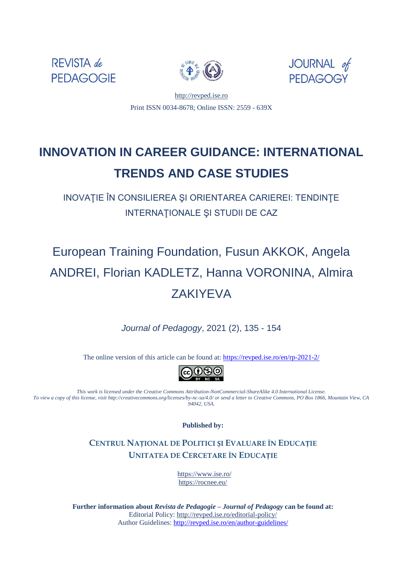





[http://revped.ise.ro](http://revped.ise.ro/) Print ISSN 0034-8678; Online ISSN: 2559 - 639X

# **INNOVATION IN CAREER GUIDANCE: INTERNATIONAL TRENDS AND CASE STUDIES**

INOVAŢIE ÎN CONSILIEREA ŞI ORIENTAREA CARIEREI: TENDINŢE INTERNAŢIONALE ŞI STUDII DE CAZ

# European Training Foundation, Fusun AKKOK, Angela ANDREI, Florian KADLETZ, Hanna VORONINA, Almira ZAKIYEVA

*Journal of Pedagogy*, 2021 (2), 135 - 154

The online version of this article can be found at[: https://revped.ise.ro/en/rp-2021-2/](https://revped.ise.ro/en/rp-2021-2/)



*This work is licensed under the Creative Commons Attribution-NonCommercial-ShareAlike 4.0 International License. To view a copy of this license, visit http://creativecommons.org/licenses/by-nc-sa/4.0/ or send a letter to Creative Commons, PO Box 1866, Mountain View, CA 94042, USA.* 

**Published by:** 

**CENTRUL NAȚIONAL DE POLITICI ȘI EVALUARE ÎN EDUCAȚIE UNITATEA DE C[ERCETARE Î](http://www.ise.ro/)N EDUCAȚIE**

> https://www.ise.ro/ https://rocnee.eu/

**Further information about** *Revist[a de Pedagogie – Journal of Pedagogy](http://revped.ise.ro/the-writer-guide-2/)* **can be found at:**  Editorial Policy: http://revped.ise.ro/editorial-policy/ Author Guidelines: http://revped.ise.ro/en/author-guidelines/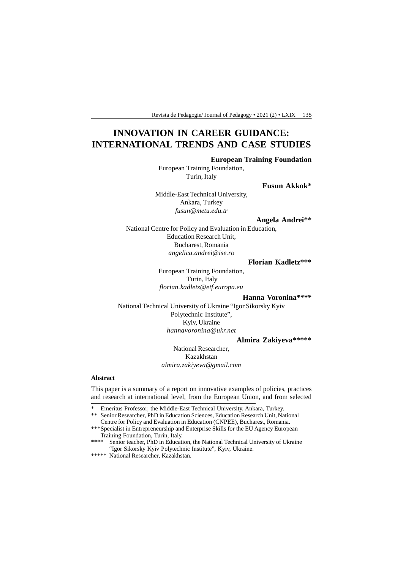# **INNOVATION IN CAREER GUIDANCE: INTERNATIONAL TRENDS AND CASE STUDIES**

#### **European Training Foundation**

European Training Foundation, Turin, Italy

**Fusun Akkok\***

Middle-East Technical University, Ankara, Turkey *fusun@metu.edu.tr*

#### **Angela Andrei\*\***

National Centre for Policy and Evaluation in Education, Education Research Unit, Bucharest, Romania *angelica.andrei@ise.ro*

#### **Florian Kadletz\*\*\***

European Training Foundation, Turin, Italy *florian.kadletz@etf.europa.eu*

 **Hanna Voronina\*\*\*\***

National Technical University of Ukraine "Igor Sikorsky Kyiv Polytechnic Institute", Kyiv, Ukraine *hannavoronina@ukr.net*

#### **Almira Zakiyeva\*\*\*\*\***

National Researcher, Kazakhstan *almira.zakiyeva@gmail.com*

#### **Abstract**

This paper is a summary of a report on innovative examples of policies, practices and research at international level, from the European Union, and from selected

<sup>\*</sup> Emeritus Professor, the Middle-East Technical University, Ankara, Turkey.

<sup>\*\*</sup> Senior Researcher, PhD in Education Sciences, Education Research Unit, National Centre for Policy and Evaluation in Education (CNPEE), Bucharest, Romania.

<sup>\*\*\*</sup>Specialist in Entrepreneurship and Enterprise Skills for the EU Agency European Training Foundation, Turin, Italy.<br>\*\*\*\* Senior teacher PhD in Education

Senior teacher, PhD in Education, the National Technical University of Ukraine "Igor Sikorsky Kyiv Polytechnic Institute", Kyiv, Ukraine.

<sup>\*\*\*\*\*</sup> National Researcher, Kazakhstan.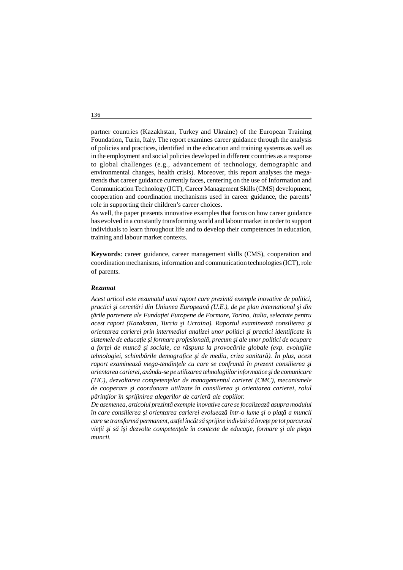partner countries (Kazakhstan, Turkey and Ukraine) of the European Training Foundation, Turin, Italy. The report examines career guidance through the analysis of policies and practices, identified in the education and training systems as well as in the employment and social policies developed in different countries as a response to global challenges (e.g., advancement of technology, demographic and environmental changes, health crisis). Moreover, this report analyses the megatrends that career guidance currently faces, centering on the use of Information and Communication Technology (ICT), Career Management Skills (CMS) development, cooperation and coordination mechanisms used in career guidance, the parents' role in supporting their children's career choices.

As well, the paper presents innovative examples that focus on how career guidance has evolved in a constantly transforming world and labour market in order to support individuals to learn throughout life and to develop their competences in education, training and labour market contexts.

**Keywords**: career guidance, career management skills (CMS), cooperation and coordination mechanisms, information and communication technologies (ICT), role of parents.

#### *Rezumat*

*Acest articol este rezumatul unui raport care prezintă exemple inovative de politici, practici i cercet ri din Uniunea European (U.E.), de pe plan international i din* rile partenere ale Funda iei Europene de Formare, Torino, Italia, selectate pentru *acest raport (Kazakstan, Turcia şi Ucraina). Raportul examinează consilierea şi orientarea carierei prin intermediul analizei unor politici şi practici identificate în* sistemele de educa ie *i* formare profesional, precum *i* ale unor politici de ocupare *a for ei de munc*ă *i sociale, ca r spuns la provoc rile globale (exp. evolu iile tehnologiei, schimb rile demografice i de mediu, criza sanitar*). În plus, acest *raport examineaz mega-tendin ele cu care se confrunt în prezent consilierea i orientarea carierei, axându-se pe utilizarea tehnologiilor informatice şi de comunicare (TIC), dezvoltarea competenţelor de managementul carierei (CMC), mecanismele* de cooperare *i coordonare utilizate în consilierea i orientarea carierei, rolul p* rin ilor în sprijinirea alegerilor de carier ale copiilor.

De asemenea, articolul prezint exemple inovative care se focalizeaz asupra modului *în care consilierea şi orientarea carierei evoluează într-o lume şi o piaţă a muncii care se transform permanent, astfel încât s sprijine indivizii s înve e pe tot parcursul* vie ii i s î i dezvolte competen ele în contexte de educa ie, formare i ale pie ei *muncii.*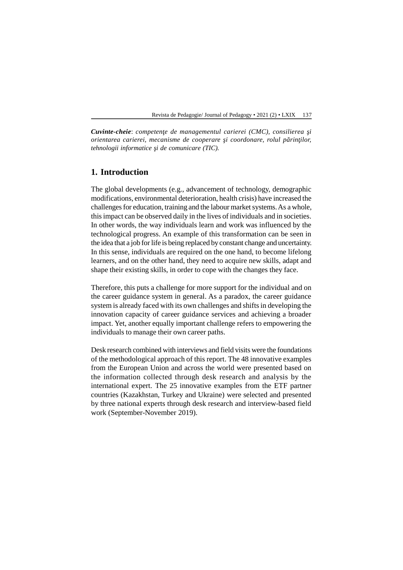*Cuvinte-cheie: competen e de managementul carierei (CMC), consilierea i orientarea carierei, mecanisme de cooperare i coordonare, rolul p rin ilor, tehnologii informatice i de comunicare (TIC).* 

## **1. Introduction**

The global developments (e.g., advancement of technology, demographic modifications, environmental deterioration, health crisis) have increased the challenges for education, training and the labour market systems. As a whole, this impact can be observed daily in the lives of individuals and in societies. In other words, the way individuals learn and work was influenced by the technological progress. An example of this transformation can be seen in the idea that a job for life is being replaced by constant change and uncertainty. In this sense, individuals are required on the one hand, to become lifelong learners, and on the other hand, they need to acquire new skills, adapt and shape their existing skills, in order to cope with the changes they face.

Therefore, this puts a challenge for more support for the individual and on the career guidance system in general. As a paradox, the career guidance system is already faced with its own challenges and shifts in developing the innovation capacity of career guidance services and achieving a broader impact. Yet, another equally important challenge refers to empowering the individuals to manage their own career paths.

Desk research combined with interviews and field visits were the foundations of the methodological approach of this report. The 48 innovative examples from the European Union and across the world were presented based on the information collected through desk research and analysis by the international expert. The 25 innovative examples from the ETF partner countries (Kazakhstan, Turkey and Ukraine) were selected and presented by three national experts through desk research and interview-based field work (September-November 2019).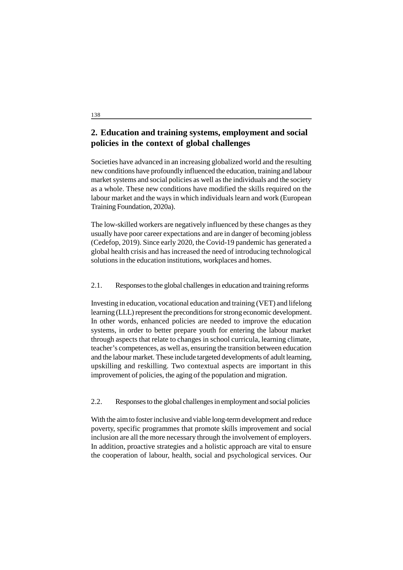# **2. Education and training systems, employment and social policies in the context of global challenges**

Societies have advanced in an increasing globalized world and the resulting new conditions have profoundly influenced the education, training and labour market systems and social policies as well as the individuals and the society as a whole. These new conditions have modified the skills required on the labour market and the ways in which individuals learn and work (European Training Foundation, 2020a).

The low-skilled workers are negatively influenced by these changes as they usually have poor career expectations and are in danger of becoming jobless (Cedefop, 2019). Since early 2020, the Covid-19 pandemic has generated a global health crisis and has increased the need of introducing technological solutions in the education institutions, workplaces and homes.

## 2.1. Responses to the global challenges in education and training reforms

Investing in education, vocational education and training (VET) and lifelong learning (LLL) represent the preconditions for strong economic development. In other words, enhanced policies are needed to improve the education systems, in order to better prepare youth for entering the labour market through aspects that relate to changes in school curricula, learning climate, teacher's competences, as well as, ensuring the transition between education and the labour market. These include targeted developments of adult learning, upskilling and reskilling. Two contextual aspects are important in this improvement of policies, the aging of the population and migration.

#### 2.2. Responses to the global challenges in employment and social policies

With the aim to foster inclusive and viable long-term development and reduce poverty, specific programmes that promote skills improvement and social inclusion are all the more necessary through the involvement of employers. In addition, proactive strategies and a holistic approach are vital to ensure the cooperation of labour, health, social and psychological services. Our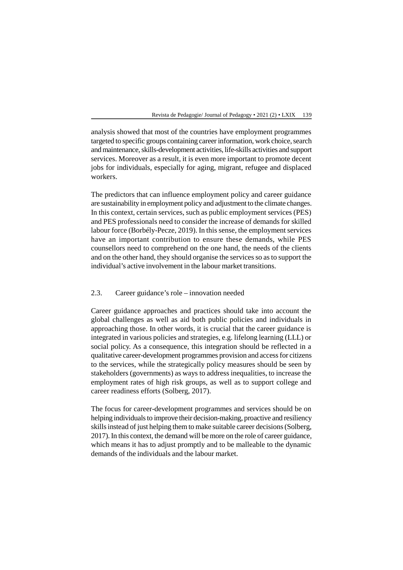analysis showed that most of the countries have employment programmes targeted to specific groups containing career information, work choice, search and maintenance, skills-development activities, life-skills activities and support services. Moreover as a result, it is even more important to promote decent jobs for individuals, especially for aging, migrant, refugee and displaced workers.

The predictors that can influence employment policy and career guidance are sustainability in employment policy and adjustment to the climate changes. In this context, certain services, such as public employment services (PES) and PES professionals need to consider the increase of demands for skilled labour force (Borbély-Pecze, 2019). In this sense, the employment services have an important contribution to ensure these demands, while PES counsellors need to comprehend on the one hand, the needs of the clients and on the other hand, they should organise the services so as to support the individual's active involvement in the labour market transitions.

## 2.3. Career guidance's role – innovation needed

Career guidance approaches and practices should take into account the global challenges as well as aid both public policies and individuals in approaching those. In other words, it is crucial that the career guidance is integrated in various policies and strategies, e.g. lifelong learning (LLL) or social policy. As a consequence, this integration should be reflected in a qualitative career-development programmes provision and access for citizens to the services, while the strategically policy measures should be seen by stakeholders (governments) as ways to address inequalities, to increase the employment rates of high risk groups, as well as to support college and career readiness efforts (Solberg, 2017).

The focus for career-development programmes and services should be on helping individuals to improve their decision-making, proactive and resiliency skills instead of just helping them to make suitable career decisions (Solberg, 2017). In this context, the demand will be more on the role of career guidance, which means it has to adjust promptly and to be malleable to the dynamic demands of the individuals and the labour market.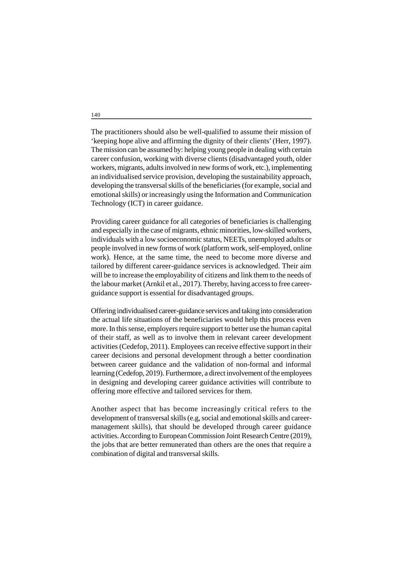The practitioners should also be well-qualified to assume their mission of 'keeping hope alive and affirming the dignity of their clients' (Herr, 1997). The mission can be assumed by: helping young people in dealing with certain career confusion, working with diverse clients (disadvantaged youth, older workers, migrants, adults involved in new forms of work, etc.), implementing an individualised service provision, developing the sustainability approach, developing the transversal skills of the beneficiaries (for example, social and emotional skills) or increasingly using the Information and Communication Technology (ICT) in career guidance.

Providing career guidance for all categories of beneficiaries is challenging and especially in the case of migrants, ethnic minorities, low-skilled workers, individuals with a low socioeconomic status, NEETs, unemployed adults or people involved in new forms of work (platform work, self-employed, online work). Hence, at the same time, the need to become more diverse and tailored by different career-guidance services is acknowledged. Their aim will be to increase the employability of citizens and link them to the needs of the labour market (Arnkil et al., 2017). Thereby, having access to free careerguidance support is essential for disadvantaged groups.

Offering individualised career-guidance services and taking into consideration the actual life situations of the beneficiaries would help this process even more. In this sense, employers require support to better use the human capital of their staff, as well as to involve them in relevant career development activities (Cedefop, 2011). Employees can receive effective support in their career decisions and personal development through a better coordination between career guidance and the validation of non-formal and informal learning (Cedefop, 2019). Furthermore, a direct involvement of the employees in designing and developing career guidance activities will contribute to offering more effective and tailored services for them.

Another aspect that has become increasingly critical refers to the development of transversal skills (e.g, social and emotional skills and careermanagement skills), that should be developed through career guidance activities. According to European Commission Joint Research Centre (2019), the jobs that are better remunerated than others are the ones that require a combination of digital and transversal skills.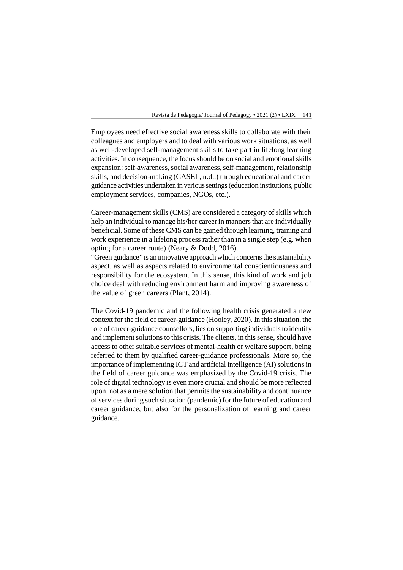Employees need effective social awareness skills to collaborate with their colleagues and employers and to deal with various work situations, as well as well-developed self-management skills to take part in lifelong learning activities. In consequence, the focus should be on social and emotional skills expansion: self-awareness, social awareness, self-management, relationship skills, and decision-making (CASEL, n.d.,) through educational and career guidance activities undertaken in various settings (education institutions, public employment services, companies, NGOs, etc.).

Career-management skills (CMS) are considered a category of skills which help an individual to manage his/her career in manners that are individually beneficial. Some of these CMS can be gained through learning, training and work experience in a lifelong process rather than in a single step (e.g. when opting for a career route) (Neary & Dodd, 2016).

"Green guidance" is an innovative approach which concerns the sustainability aspect, as well as aspects related to environmental conscientiousness and responsibility for the ecosystem. In this sense, this kind of work and job choice deal with reducing environment harm and improving awareness of the value of green careers (Plant, 2014).

The Covid-19 pandemic and the following health crisis generated a new context for the field of career-guidance (Hooley, 2020). In this situation, the role of career-guidance counsellors, lies on supporting individuals to identify and implement solutions to this crisis. The clients, in this sense, should have access to other suitable services of mental-health or welfare support, being referred to them by qualified career-guidance professionals. More so, the importance of implementing ICT and artificial intelligence (AI) solutions in the field of career guidance was emphasized by the Covid-19 crisis. The role of digital technology is even more crucial and should be more reflected upon, not as a mere solution that permits the sustainability and continuance of services during such situation (pandemic) for the future of education and career guidance, but also for the personalization of learning and career guidance.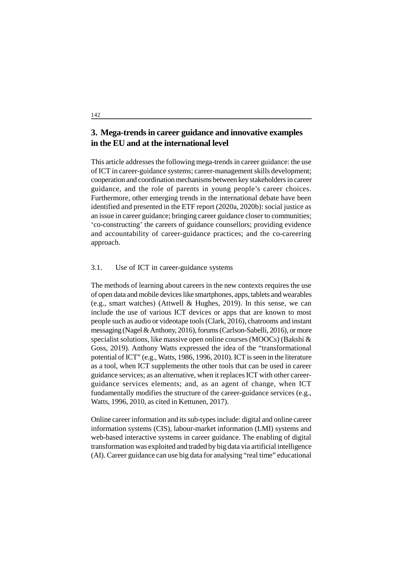# **3. Mega-trends in career guidance and innovative examples in the EU and at the international level**

This article addresses the following mega-trends in career guidance: the use of ICT in career-guidance systems; career-management skills development; cooperation and coordination mechanisms between key stakeholders in career guidance, and the role of parents in young people's career choices. Furthermore, other emerging trends in the international debate have been identified and presented in the ETF report (2020a, 2020b): social justice as an issue in career guidance; bringing career guidance closer to communities; 'co-constructing' the careers of guidance counsellors; providing evidence and accountability of career-guidance practices; and the co-careering approach.

## 3.1. Use of ICT in career-guidance systems

The methods of learning about careers in the new contexts requires the use of open data and mobile devices like smartphones, apps, tablets and wearables (e.g., smart watches) (Attwell & Hughes, 2019). In this sense, we can include the use of various ICT devices or apps that are known to most people such as audio or videotape tools (Clark, 2016), chatrooms and instant messaging (Nagel & Anthony, 2016), forums (Carlson-Sabelli, 2016), or more specialist solutions, like massive open online courses (MOOCs) (Bakshi & Goss, 2019). Anthony Watts expressed the idea of the "transformational potential of ICT" (e.g., Watts, 1986, 1996, 2010). ICT is seen in the literature as a tool, when ICT supplements the other tools that can be used in career guidance services; as an alternative, when it replaces ICT with other careerguidance services elements; and, as an agent of change, when ICT fundamentally modifies the structure of the career-guidance services (e.g., Watts, 1996, 2010, as cited in Kettunen, 2017).

Online career information and its sub-types include: digital and online career information systems (CIS), labour-market information (LMI) systems and web-based interactive systems in career guidance. The enabling of digital transformation was exploited and traded by big data via artificial intelligence (AI). Career guidance can use big data for analysing "real time" educational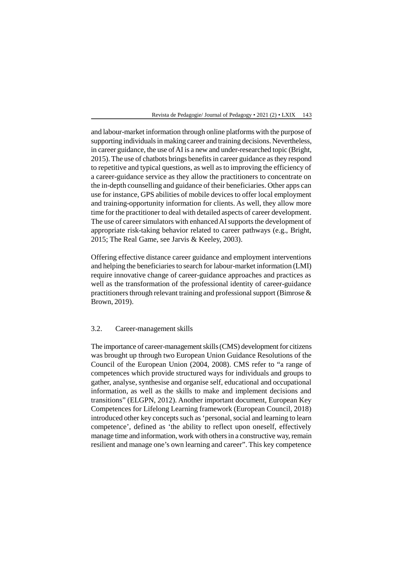and labour-market information through online platforms with the purpose of supporting individuals in making career and training decisions. Nevertheless, in career guidance, the use of AI is a new and under-researched topic (Bright, 2015). The use of chatbots brings benefits in career guidance as they respond to repetitive and typical questions, as well as to improving the efficiency of a career-guidance service as they allow the practitioners to concentrate on the in-depth counselling and guidance of their beneficiaries. Other apps can use for instance, GPS abilities of mobile devices to offer local employment and training-opportunity information for clients. As well, they allow more time for the practitioner to deal with detailed aspects of career development. The use of career simulators with enhanced AI supports the development of appropriate risk-taking behavior related to career pathways (e.g., Bright, 2015; The Real Game, see Jarvis & Keeley, 2003).

Offering effective distance career guidance and employment interventions and helping the beneficiaries to search for labour-market information (LMI) require innovative change of career-guidance approaches and practices as well as the transformation of the professional identity of career-guidance practitioners through relevant training and professional support (Bimrose & Brown, 2019).

## 3.2. Career-management skills

The importance of career-management skills (CMS) development for citizens was brought up through two European Union Guidance Resolutions of the Council of the European Union (2004, 2008). CMS refer to "a range of competences which provide structured ways for individuals and groups to gather, analyse, synthesise and organise self, educational and occupational information, as well as the skills to make and implement decisions and transitions" (ELGPN, 2012). Another important document, European Key Competences for Lifelong Learning framework (European Council, 2018) introduced other key concepts such as 'personal, social and learning to learn competence', defined as 'the ability to reflect upon oneself, effectively manage time and information, work with others in a constructive way, remain resilient and manage one's own learning and career". This key competence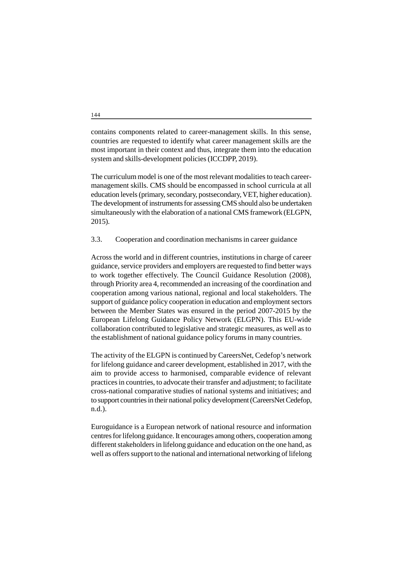contains components related to career-management skills. In this sense, countries are requested to identify what career management skills are the most important in their context and thus, integrate them into the education system and skills-development policies (ICCDPP, 2019).

The curriculum model is one of the most relevant modalities to teach careermanagement skills. CMS should be encompassed in school curricula at all education levels (primary, secondary, postsecondary, VET, higher education). The development of instruments for assessing CMS should also be undertaken simultaneously with the elaboration of a national CMS framework (ELGPN, 2015).

3.3. Cooperation and coordination mechanisms in career guidance

Across the world and in different countries, institutions in charge of career guidance, service providers and employers are requested to find better ways to work together effectively. The Council Guidance Resolution (2008), through Priority area 4, recommended an increasing of the coordination and cooperation among various national, regional and local stakeholders. The support of guidance policy cooperation in education and employment sectors between the Member States was ensured in the period 2007-2015 by the European Lifelong Guidance Policy Network (ELGPN). This EU-wide collaboration contributed to legislative and strategic measures, as well as to the establishment of national guidance policy forums in many countries.

The activity of the ELGPN is continued by CareersNet, Cedefop's network for lifelong guidance and career development, established in 2017, with the aim to provide access to harmonised, comparable evidence of relevant practices in countries, to advocate their transfer and adjustment; to facilitate cross-national comparative studies of national systems and initiatives; and to support countries in their national policy development (CareersNet Cedefop, n.d.).

Euroguidance is a European network of national resource and information centres for lifelong guidance. It encourages among others, cooperation among different stakeholders in lifelong guidance and education on the one hand, as well as offers support to the national and international networking of lifelong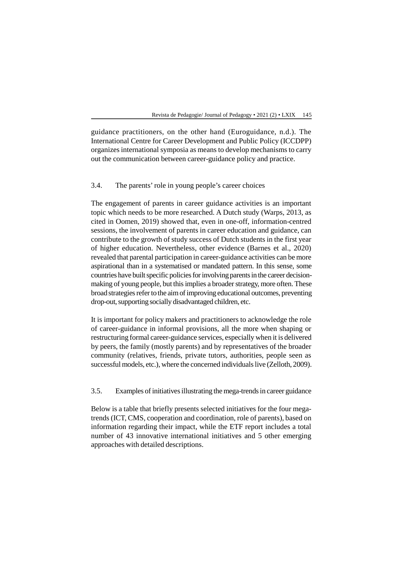guidance practitioners, on the other hand (Euroguidance, n.d.). The International Centre for Career Development and Public Policy (ICCDPP) organizes international symposia as means to develop mechanisms to carry out the communication between career-guidance policy and practice.

## 3.4. The parents' role in young people's career choices

The engagement of parents in career guidance activities is an important topic which needs to be more researched. A Dutch study (Warps, 2013, as cited in Oomen, 2019) showed that, even in one-off, information-centred sessions, the involvement of parents in career education and guidance, can contribute to the growth of study success of Dutch students in the first year of higher education. Nevertheless, other evidence (Barnes et al., 2020) revealed that parental participation in career-guidance activities can be more aspirational than in a systematised or mandated pattern. In this sense, some countries have built specific policies for involving parents in the career decisionmaking of young people, but this implies a broader strategy, more often. These broad strategies refer to the aim of improving educational outcomes, preventing drop-out, supporting socially disadvantaged children, etc.

It is important for policy makers and practitioners to acknowledge the role of career-guidance in informal provisions, all the more when shaping or restructuring formal career-guidance services, especially when it is delivered by peers, the family (mostly parents) and by representatives of the broader community (relatives, friends, private tutors, authorities, people seen as successful models, etc.), where the concerned individuals live (Zelloth, 2009).

#### 3.5. Examples of initiatives illustrating the mega-trends in career guidance

Below is a table that briefly presents selected initiatives for the four megatrends (ICT, CMS, cooperation and coordination, role of parents), based on information regarding their impact, while the ETF report includes a total number of 43 innovative international initiatives and 5 other emerging approaches with detailed descriptions.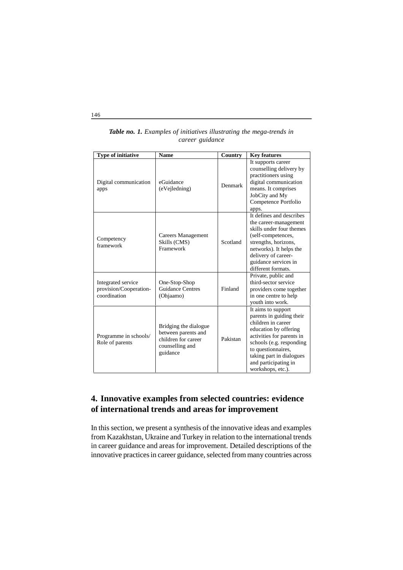| <b>Type of initiative</b>                                    | <b>Name</b>                                                                                        | Country  | <b>Key features</b>                                                                                                                                                                                                                                   |
|--------------------------------------------------------------|----------------------------------------------------------------------------------------------------|----------|-------------------------------------------------------------------------------------------------------------------------------------------------------------------------------------------------------------------------------------------------------|
| Digital communication<br>apps                                | eGuidance<br>(eVejledning)                                                                         | Denmark  | It supports career<br>counselling delivery by<br>practitioners using<br>digital communication<br>means. It comprises<br>JobCity and My<br>Competence Portfolio<br>apps.                                                                               |
| Competency<br>framework                                      | Careers Management<br>Skills (CMS)<br>Framework                                                    | Scotland | It defines and describes<br>the career-management<br>skills under four themes<br>(self-competences,<br>strengths, horizons,<br>networks). It helps the<br>delivery of career-<br>guidance services in<br>different formats.                           |
| Integrated service<br>provision/Cooperation-<br>coordination | One-Stop-Shop<br><b>Guidance Centres</b><br>(Ohjaamo)                                              | Finland  | Private, public and<br>third-sector service<br>providers come together<br>in one centre to help<br>youth into work.                                                                                                                                   |
| Programme in schools/<br>Role of parents                     | Bridging the dialogue<br>between parents and<br>children for career<br>counselling and<br>guidance | Pakistan | It aims to support<br>parents in guiding their<br>children in career<br>education by offering<br>activities for parents in<br>schools (e.g. responding<br>to questionnaires,<br>taking part in dialogues<br>and participating in<br>workshops, etc.). |

## *Table no. 1. Examples of initiatives illustrating the mega-trends in career guidance*

# **4. Innovative examples from selected countries: evidence of international trends and areas for improvement**

In this section, we present a synthesis of the innovative ideas and examples from Kazakhstan, Ukraine and Turkey in relation to the international trends in career guidance and areas for improvement. Detailed descriptions of the innovative practices in career guidance, selected from many countries across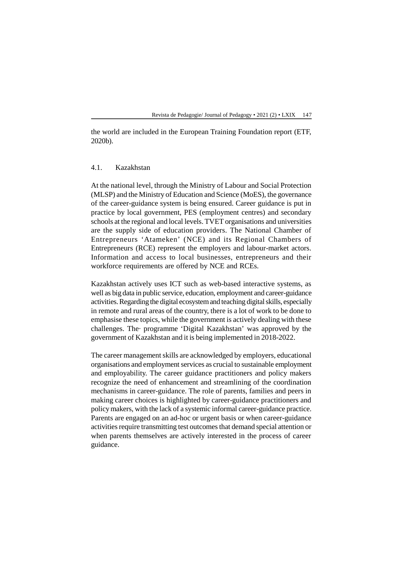the world are included in the European Training Foundation report (ETF, 2020b).

#### 4.1. Kazakhstan

At the national level, through the Ministry of Labour and Social Protection (MLSP) and the Ministry of Education and Science (MoES), the governance of the career-guidance system is being ensured. Career guidance is put in practice by local government, PES (employment centres) and secondary schools at the regional and local levels. TVET organisations and universities are the supply side of education providers. The National Chamber of Entrepreneurs 'Atameken' (NCE) and its Regional Chambers of Entrepreneurs (RCE) represent the employers and labour-market actors. Information and access to local businesses, entrepreneurs and their workforce requirements are offered by NCE and RCEs.

Kazakhstan actively uses ICT such as web-based interactive systems, as well as big data in public service, education, employment and career-guidance activities. Regarding the digital ecosystem and teaching digital skills, especially in remote and rural areas of the country, there is a lot of work to be done to emphasise these topics, while the government is actively dealing with these challenges. The· programme 'Digital Kazakhstan' was approved by the government of Kazakhstan and it is being implemented in 2018-2022.

The career management skills are acknowledged by employers, educational organisations and employment services as crucial to sustainable employment and employability. The career guidance practitioners and policy makers recognize the need of enhancement and streamlining of the coordination mechanisms in career-guidance. The role of parents, families and peers in making career choices is highlighted by career-guidance practitioners and policy makers, with the lack of a systemic informal career-guidance practice. Parents are engaged on an ad-hoc or urgent basis or when career-guidance activities require transmitting test outcomes that demand special attention or when parents themselves are actively interested in the process of career guidance.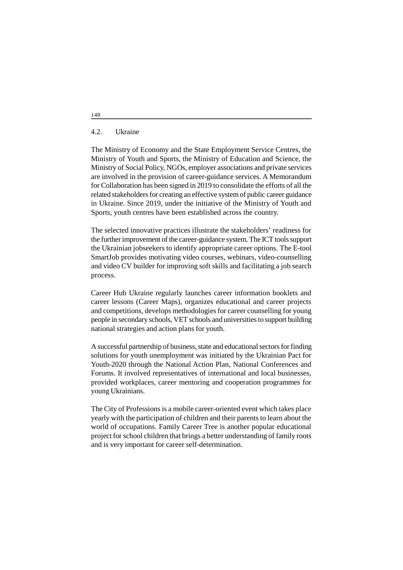#### 4.2. Ukraine

The Ministry of Economy and the State Employment Service Centres, the Ministry of Youth and Sports, the Ministry of Education and Science, the Ministry of Social Policy, NGOs, employer associations and private services are involved in the provision of career-guidance services. A Memorandum for Collaboration has been signed in 2019 to consolidate the efforts of all the related stakeholders for creating an effective system of public career guidance in Ukraine. Since 2019, under the initiative of the Ministry of Youth and Sports, youth centres have been established across the country.

The selected innovative practices illustrate the stakeholders' readiness for the further improvement of the career-guidance system. The ICT tools support the Ukrainian jobseekers to identify appropriate career options. The E-tool SmartJob provides motivating video courses, webinars, video-counselling and video CV builder for improving soft skills and facilitating a job search process.

Career Hub Ukraine regularly launches career information booklets and career lessons (Career Maps), organizes educational and career projects and competitions, develops methodologies for career counselling for young people in secondary schools, VET schools and universities to support building national strategies and action plans for youth.

A successful partnership of business, state and educational sectors for finding solutions for youth unemployment was initiated by the Ukrainian Pact for Youth-2020 through the National Action Plan, National Conferences and Forums. It involved representatives of international and local businesses, provided workplaces, career mentoring and cooperation programmes for young Ukrainians.

The City of Professions is a mobile career-oriented event which takes place yearly with the participation of children and their parents to learn about the world of occupations. Family Career Tree is another popular educational project for school children that brings a better understanding of family roots and is very important for career self-determination.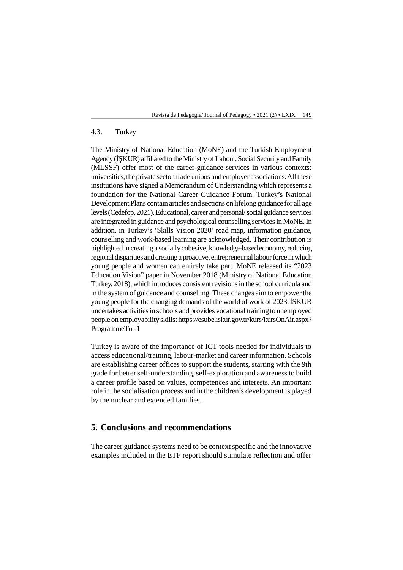## 4.3. Turkey

The Ministry of National Education (MoNE) and the Turkish Employment Agency (KUR) affiliated to the Ministry of Labour, Social Security and Family (MLSSF) offer most of the career-guidance services in various contexts: universities, the private sector, trade unions and employer associations. All these institutions have signed a Memorandum of Understanding which represents a foundation for the National Career Guidance Forum. Turkey's National Development Plans contain articles and sections on lifelong guidance for all age levels (Cedefop, 2021). Educational, career and personal/ social guidance services are integrated in guidance and psychological counselling services in MoNE. In addition, in Turkey's 'Skills Vision 2020' road map, information guidance, counselling and work-based learning are acknowledged. Their contribution is highlighted in creating a socially cohesive, knowledge-based economy, reducing regional disparities and creating a proactive, entrepreneurial labour force in which young people and women can entirely take part. MoNE released its "2023 Education Vision" paper in November 2018 (Ministry of National Education Turkey, 2018), which introduces consistent revisions in the school curricula and in the system of guidance and counselling. These changes aim to empower the young people for the changing demands of the world of work of 2023. SKUR undertakes activities in schools and provides vocational training to unemployed people on employability skills: https://esube.iskur.gov.tr/kurs/kursOnAir.aspx? ProgrammeTur-1

Turkey is aware of the importance of ICT tools needed for individuals to access educational/training, labour-market and career information. Schools are establishing career offices to support the students, starting with the 9th grade for better self-understanding, self-exploration and awareness to build a career profile based on values, competences and interests. An important role in the socialisation process and in the children's development is played by the nuclear and extended families.

## **5. Conclusions and recommendations**

The career guidance systems need to be context specific and the innovative examples included in the ETF report should stimulate reflection and offer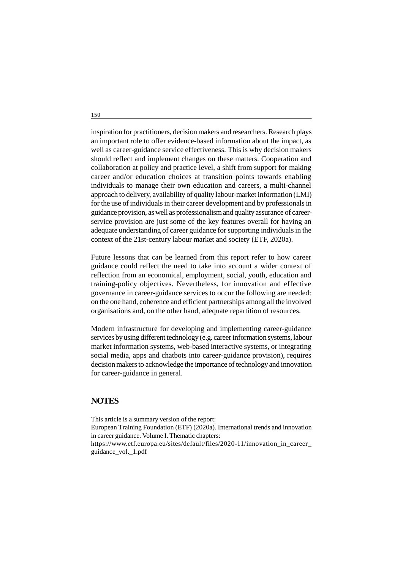inspiration for practitioners, decision makers and researchers. Research plays an important role to offer evidence-based information about the impact, as well as career-guidance service effectiveness. This is why decision makers should reflect and implement changes on these matters. Cooperation and collaboration at policy and practice level, a shift from support for making career and/or education choices at transition points towards enabling individuals to manage their own education and careers, a multi-channel approach to delivery, availability of quality labour-market information (LMI) for the use of individuals in their career development and by professionals in guidance provision, as well as professionalism and quality assurance of careerservice provision are just some of the key features overall for having an adequate understanding of career guidance for supporting individuals in the context of the 21st-century labour market and society (ETF, 2020a).

Future lessons that can be learned from this report refer to how career guidance could reflect the need to take into account a wider context of reflection from an economical, employment, social, youth, education and training-policy objectives. Nevertheless, for innovation and effective governance in career-guidance services to occur the following are needed: on the one hand, coherence and efficient partnerships among all the involved organisations and, on the other hand, adequate repartition of resources.

Modern infrastructure for developing and implementing career-guidance services by using different technology (e.g. career information systems, labour market information systems, web-based interactive systems, or integrating social media, apps and chatbots into career-guidance provision), requires decision makers to acknowledge the importance of technology and innovation for career-guidance in general.

# **NOTES**

This article is a summary version of the report: European Training Foundation (ETF) (2020a). International trends and innovation in career guidance. Volume I. Thematic chapters: https://www.etf.europa.eu/sites/default/files/2020-11/innovation\_in\_career\_ guidance\_vol.\_1.pdf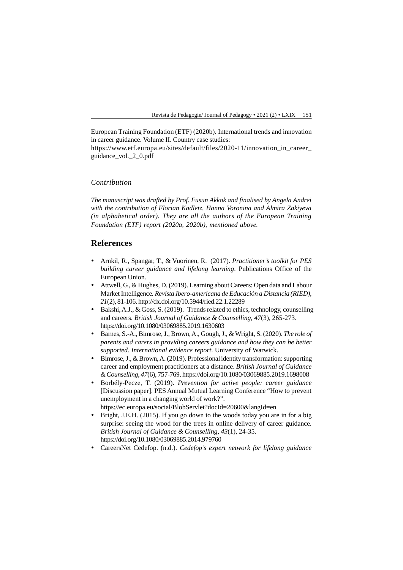European Training Foundation (ETF) (2020b). International trends and innovation in career guidance. Volume II. Country case studies:

https://www.etf.europa.eu/sites/default/files/2020-11/innovation in career guidance\_vol.\_2\_0.pdf

#### *Contribution*

*The manuscript was drafted by Prof. Fusun Akkok and finalised by Angela Andrei with the contribution of Florian Kadletz, Hanna Voronina and Almira Zakiyeva (in alphabetical order). They are all the authors of the European Training Foundation (ETF) report (2020a, 2020b), mentioned above.*

# **References**

- Arnkil, R., Spangar, T., & Vuorinen, R. (2017). *Practitioner's toolkit for PES building career guidance and lifelong learning*. Publications Office of the European Union.
- Attwell, G., & Hughes, D. (2019). Learning about Careers: Open data and Labour Market Intelligence*. Revista Ibero-americana de Educación a Distancia (RIED), 21*(2), 81-106. http://dx.doi.org/10.5944/ried.22.1.22289
- $\bullet$  Bakshi, A.J., & Goss, S. (2019). Trends related to ethics, technology, counselling and careers. *British Journal of Guidance & Counselling, 47*(3), 265-273. https://doi.org/10.1080/03069885.2019.1630603
- Barnes, S.-A., Bimrose, J., Brown, A., Gough, J., & Wright, S. (2020). *The role of parents and carers in providing careers guidance and how they can be better supported. International evidence report*. University of Warwick.
- Bimrose, J., & Brown, A. (2019). Professional identity transformation: supporting career and employment practitioners at a distance. *British Journal of Guidance & Counselling*, *47*(6), 757-769. https://doi.org/10.1080/03069885.2019.1698008
- Borbély-Pecze, T. (2019). *Prevention for active people: career guidance* [Discussion paper]. PES Annual Mutual Learning Conference "How to prevent unemployment in a changing world of work?". https://ec.europa.eu/social/BlobServlet?docId=20600&langId=en
- Bright, J.E.H. (2015). If you go down to the woods today you are in for a big surprise: seeing the wood for the trees in online delivery of career guidance. *British Journal of Guidance & Counselling, 43*(1), 24-35. https://doi.org/10.1080/03069885.2014.979760
- CareersNet Cedefop. (n.d.). *Cedefop's expert network for lifelong guidance*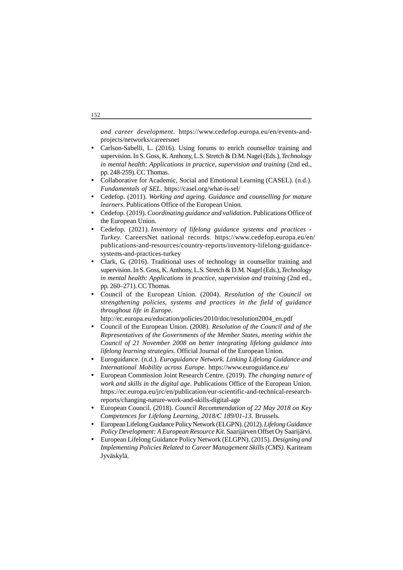*and career development*. https://www.cedefop.europa.eu/en/events-andprojects/networks/careersnet

- Carlson-Sabelli, L. (2016). Using forums to enrich counsellor training and supervision. In S. Goss, K. Anthony, L.S. Stretch & D.M. Nagel (Eds.),*Technology in mental health: Applications in practice, supervision and training* (2nd ed., pp. 248-259). CC Thomas.
- Collaborative for Academic, Social and Emotional Learning (CASEL). (n.d.). *Fundamentals of SEL*. https://casel.org/what-is-sel/
- Cedefop. (2011). *Working and ageing. Guidance and counselling for mature learners*. Publications Office of the European Union.
- Cedefop. (2019). *Coordinating guidance and validation*. Publications Office of the European Union.
- Cedefop. (2021). *Inventory of lifelong guidance systems and practices - Turkey.* CareersNet national records. https://www.cedefop.europa.eu/en/ publications-and-resources/country-reports/inventory-lifelong-guidancesystems-and-practices-turkey
- Clark, G. (2016). Traditional uses of technology in counsellor training and supervision. In S. Goss, K. Anthony, L.S. Stretch & D.M. Nagel (Eds.),*Technology in mental health: Applications in practice, supervision and training* (2nd ed., pp. 260–271). CC Thomas.
- Council of the European Union. (2004). *Resolution of the Council on strengthening policies, systems and practices in the field of guidance throughout life in Europe*.

http://ec.europa.eu/education/policies/2010/doc/resolution2004\_en.pdf

- Council of the European Union. (2008). *Resolution of the Council and of the Representatives of the Governments of the Member States, meeting within the Council of 21 November 2008 on better integrating lifelong guidance into lifelong learning strategies*. Official Journal of the European Union.
- Euroguidance. (n.d.). *Euroguidance Network. Linking Lifelong Guidance and International Mobility across Europe*. https://www.euroguidance.eu/
- European Commission Joint Research Centre. (2019). *The changing nature of work and skills in the digital age*. Publications Office of the European Union. https://ec.europa.eu/jrc/en/publication/eur-scientific-and-technical-researchreports/changing-nature-work-and-skills-digital-age
- European Council. (2018). *Council Recommendation of 22 May 2018 on Key Competences for Lifelong Learning, 2018/C 189/01-13*. Brussels.
- European Lifelong Guidance Policy Network (ELGPN). (2012).*Lifelong Guidance Policy Development: A European Resource Kit*. Saarijärven Offset Oy Saarijärvi.
- European Lifelong Guidance Policy Network (ELGPN). (2015). *Designing and Implementing Policies Related to Career Management Skills (CMS)*. Kariteam Jyväskylä.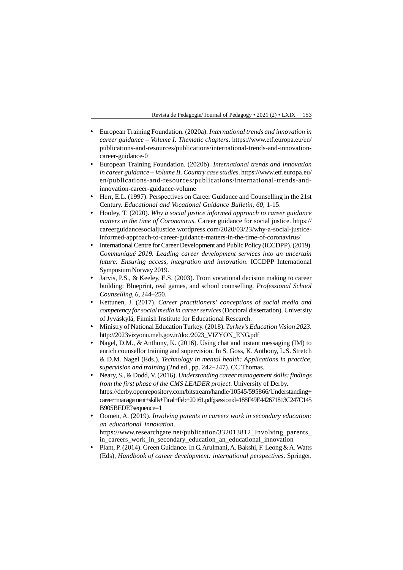- European Training Foundation. (2020a). *International trends and innovation in career guidance – Volume I. Thematic chapters*. https://www.etf.europa.eu/en/ publications-and-resources/publications/international-trends-and-innovationcareer-guidance-0
- European Training Foundation. (2020b). *International trends and innovation in career guidance – Volume II. Country case studies*. https://www.etf.europa.eu/ en/publications-and-resources/publications/international-trends-andinnovation-career-guidance-volume
- Herr, E.L. (1997). Perspectives on Career Guidance and Counselling in the 21st Century. *Educational and Vocational Guidance Bulletin, 60,* 1-15.
- Hooley, T. (2020). *Why a social justice informed approach to career guidance matters in the time of Coronavirus*. Career guidance for social justice. https:// careerguidancesocialjustice.wordpress.com/2020/03/23/why-a-social-justiceinformed-approach-to-career-guidance-matters-in-the-time-of-coronavirus/
- International Centre for Career Development and Public Policy (ICCDPP). (2019). *Communiqué 2019. Leading career development services into an uncertain future: Ensuring access, integration and innovation*. ICCDPP International Symposium Norway 2019.
- Jarvis, P.S., & Keeley, E.S. (2003). From vocational decision making to career building: Blueprint, real games, and school counselling*. Professional School Counselling, 6,* 244–250.
- Kettunen, J. (2017). *Career practitioners' conceptions of social media and competency for social media in career services* (Doctoral dissertation). University of Jyväskylä, Finnish Institute for Educational Research.
- Ministry of National Education Turkey. (2018). *Turkey's Education Vision 2023*. http://2023vizyonu.meb.gov.tr/doc/2023\_VIZYON\_ENG.pdf
- Nagel, D.M., & Anthony, K. (2016). Using chat and instant messaging (IM) to enrich counsellor training and supervision. In S. Goss, K. Anthony, L.S. Stretch & D.M. Nagel (Eds.), *Technology in mental health: Applications in practice, supervision and training* (2nd ed., pp. 242–247). CC Thomas.
- Neary, S., & Dodd, V. (2016). *Understanding career management skills: findings from the first phase of the CMS LEADER project*. University of Derby. https://derby.openrepository.com/bitstream/handle/10545/595866/Understanding+ career+management+skills+Final+Feb+20161.pdf;jsessionid=188F49E442671813C247C145 B905BEDE?sequence=1
- Oomen, A. (2019). *Involving parents in careers work in secondary education: an educational innovation*. https://www.researchgate.net/publication/332013812 Involving parents in\_careers\_work\_in\_secondary\_education\_an\_educational\_innovation
- Plant, P. (2014). Green Guidance. In G. Arulmani, A. Bakshi, F. Leong & A. Watts (Eds), *Handbook of career development: international perspectives*. Springer.